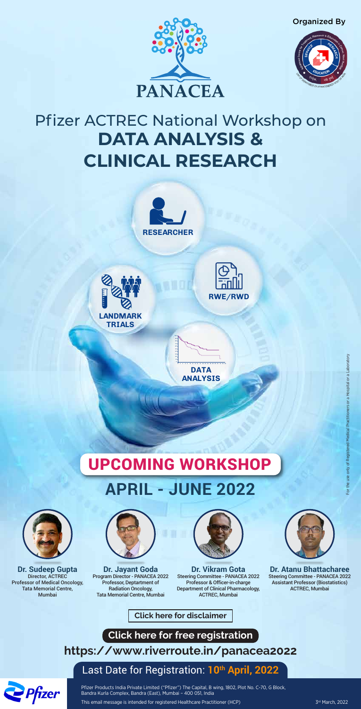

# **DATA ANALYSIS & CLINICAL RESEARCH** Pfizer ACTREC National Workshop on



**DATA ANALYSIS**

**60 50 40**





**0 2 4 6 8 10 12 14 16 18 20 22 24 26 28 30 32 34 36 38**





Organized By





Pfizer Products India Private Limited ("Pfizer") The Capital, B wing, 1802, Plot No. C-70, G Block, Bandra Kurla Complex, Bandra (East), Mumbai – 400 051, India

This email message is intended for registered Healthcare Practitioner (HCP)

3rd March, 2022

**<https://www.riverroute.in/panacea2022>**

**Click here for free registration**

**[Click here for disclaimer](https://www.pfizermcm.com/files/Emailer_NonProductDisclaimer_New.pdf)**



### Last Date for Registration: **10th April, 2022**



**Dr. Sudeep Gupta** Director, ACTREC Professor of Medical Oncology, Tata Memorial Centre, Mumbai



**Dr. Jayant Goda** Program Director - PANACEA 2022 Professor, Deptartment of Radiation Oncology, Tata Memorial Centre, Mumbai



**Dr. Vikram Gota** Steering Committee - PANACEA 2022 Professor & Officer-in-charge Department of Clinical Pharmacology, ACTREC, Mumbai

**Dr. Atanu Bhattacharee** Steering Committee - PANACEA 2022 Assistant Professor (Biostatistics) ACTREC, Mumbai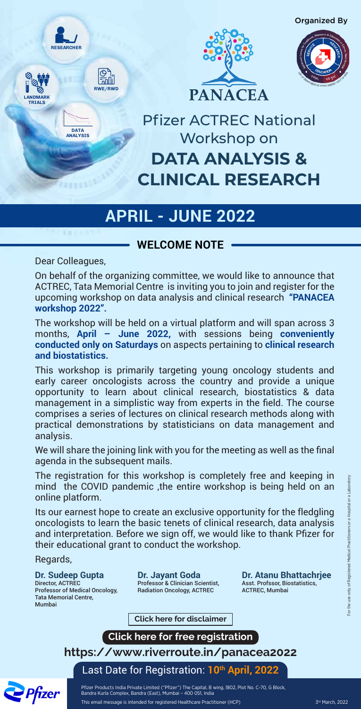### **WELCOME NOTE**

Dear Colleagues,

Pfizer Products India Private Limited ("Pfizer") The Capital, B wing, 1802, Plot No. C-70, G Block, Bandra Kurla Complex, Bandra (East), Mumbai – 400 051, India

This email message is intended for registered Healthcare Practitioner (HCP)

**<https://www.riverroute.in/panacea2022>**

**Click here for free registration**

**[Click here for disclaimer](https://www.pfizermcm.com/files/Emailer_NonProductDisclaimer_New.pdf)**

Last Date for Registration: **10th April, 2022**



**DATA ANALYSIS & CLINICAL RESEARCH** Pfizer ACTREC National Workshop on

**RWE/RWD**





**DATA ANALYSIS**

existas



**LANDMARK TRIALS**

## **APRIL - JUNE 2022**



On behalf of the organizing committee, we would like to announce that ACTREC, Tata Memorial Centre is inviting you to join and register for the upcoming workshop on data analysis and clinical research **"PANACEA workshop 2022".**

The workshop will be held on a virtual platform and will span across 3 months, **April – June 2022,** with sessions being **conveniently conducted only on Saturdays** on aspects pertaining to **clinical research and biostatistics.**

This workshop is primarily targeting young oncology students and early career oncologists across the country and provide a unique opportunity to learn about clinical research, biostatistics & data management in a simplistic way from experts in the field. The course comprises a series of lectures on clinical research methods along with practical demonstrations by statisticians on data management and analysis.

We will share the joining link with you for the meeting as well as the final agenda in the subsequent mails.

The registration for this workshop is completely free and keeping in mind the COVID pandemic ,the entire workshop is being held on an online platform.

Its our earnest hope to create an exclusive opportunity for the fledgling oncologists to learn the basic tenets of clinical research, data analysis and interpretation. Before we sign off, we would like to thank Pfizer for their educational grant to conduct the workshop.

Regards,

### **Dr. Sudeep Gupta**

Director, ACTREC Professor of Medical Oncology, Tata Memorial Centre, Mumbai

**Dr. Jayant Goda**

Professor & Clinician Scientist, Radiation Oncology, ACTREC

**Dr. Atanu Bhattachrjee**

Asst. Profssor, Biostatistics, ACTREC, Mumbai�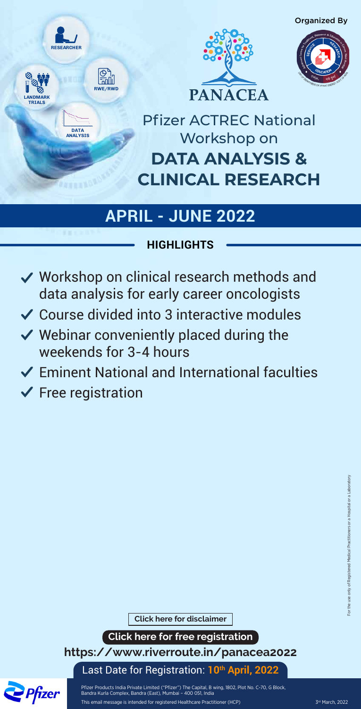## **HIGHLIGHTS**

- **◆ Workshop on clinical research methods and** data analysis for early career oncologists
- Course divided into 3 interactive modules
- $\vee$  Webinar conveniently placed during the weekends for 3-4 hours
- Eminent National and International faculties
- $\checkmark$  Free registration

Pfizer Products India Private Limited ("Pfizer") The Capital, B wing, 1802, Plot No. C-70, G Block, Bandra Kurla Complex, Bandra (East), Mumbai – 400 051, India

This email message is intended for registered Healthcare Practitioner (HCP)

**<https://www.riverroute.in/panacea2022>**

**Click here for free registration**

**[Click here for disclaimer](https://www.pfizermcm.com/files/Emailer_NonProductDisclaimer_New.pdf)**

Last Date for Registration: **10th April, 2022**



**DATA ANALYSIS & CLINICAL RESEARCH** Pfizer ACTREC National Workshop on







## **APRIL - JUNE 2022**

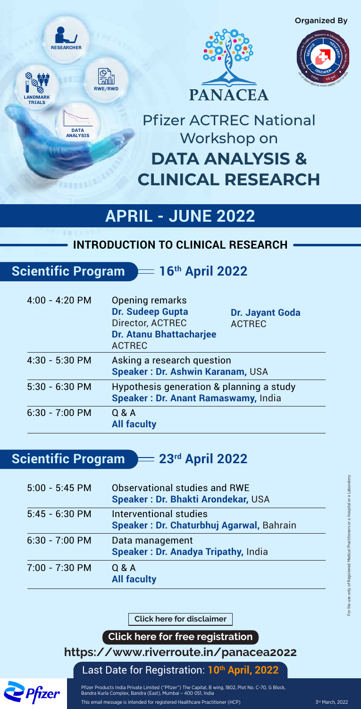Pfizer Products India Private Limited ("Pfizer") The Capital, B wing, 1802, Plot No. C-70, G Block, Bandra Kurla Complex, Bandra (East), Mumbai – 400 051, India

This email message is intended for registered Healthcare Practitioner (HCP)

**<https://www.riverroute.in/panacea2022>**

**Click here for free registration**

Last Date for Registration: **10th April, 2022**



# **DATA ANALYSIS & CLINICAL RESEARCH** Pfizer ACTREC National Workshop on

**RWE/RWD**





**DATA ANALYSIS**



**LANDMARK TRIALS**

## **APRIL - JUNE 2022**



| Interventional studies<br><b>Speaker: Dr. Chaturbhuj Agarwal, Bahrain</b> |
|---------------------------------------------------------------------------|
| Data management<br><b>Speaker: Dr. Anadya Tripathy, India</b>             |
| Q & A<br><b>All faculty</b>                                               |
|                                                                           |
|                                                                           |

| $4:00 - 4:20$ PM | Opening remarks<br><b>Dr. Sudeep Gupta</b><br>Director, ACTREC<br><b>Dr. Atanu Bhattacharjee</b><br><b>ACTREC</b> | Dr. Jayant Goda<br><b>ACTREC</b> |
|------------------|-------------------------------------------------------------------------------------------------------------------|----------------------------------|
| 4:30 - 5:30 PM   | Asking a research question<br><b>Speaker: Dr. Ashwin Karanam, USA</b>                                             |                                  |
| $5.30 - 6.30$ PM | Hypothesis generation & planning a study<br><b>Speaker: Dr. Anant Ramaswamy, India</b>                            |                                  |
| $6:30 - 7:00$ PM | Q & A<br><b>All faculty</b>                                                                                       |                                  |

## **Scientific Program = 23rd April 2022**

### **INTRODUCTION TO CLINICAL RESEARCH**

## **Scientific Program = 16th April 2022**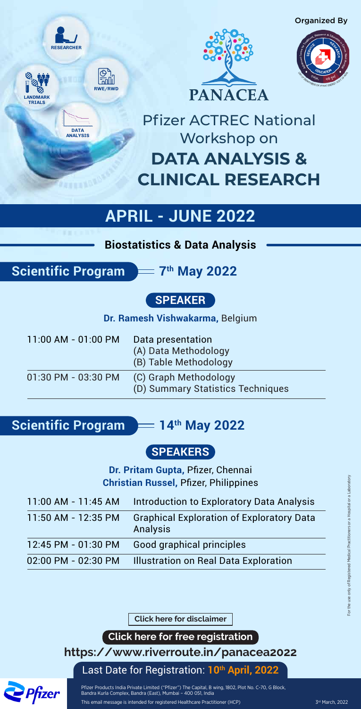Pfizer Products India Private Limited ("Pfizer") The Capital, B wing, 1802, Plot No. C-70, G Block, Bandra Kurla Complex, Bandra (East), Mumbai – 400 051, India

This email message is intended for registered Healthcare Practitioner (HCP)

**<https://www.riverroute.in/panacea2022>**

**Click here for free registration**

**[Click here for disclaimer](https://www.pfizermcm.com/files/Emailer_NonProductDisclaimer_New.pdf)**

Last Date for Registration: **10th April, 2022**



**DATA ANALYSIS & CLINICAL RESEARCH** Pfizer ACTREC National Workshop on

**RWE/RWD**





**DATA ANALYSIS**



**LANDMARK TRIALS**

## **APRIL - JUNE 2022**



| $11:00$ AM - 01:00 PM | Data presentation<br>(A) Data Methodology<br>(B) Table Methodology |
|-----------------------|--------------------------------------------------------------------|
| 01:30 PM - 03:30 PM   | (C) Graph Methodology<br>(D) Summary Statistics Techniques         |

**Scientific Program = 14th May 2022** 

**Biostatistics & Data Analysis**

**Scientific Program = 7<sup>th</sup> May 2022** 

| 11:00 AM - 11:45 AM | <b>Introduction to Exploratory Data Analysis</b>                          |
|---------------------|---------------------------------------------------------------------------|
|                     | 11:50 AM - 12:35 PM Graphical Exploration of Exploratory Data<br>Analysis |

12:45 PM - 01:30 PM Good graphical principles

02:00 PM - 02:30 PM Illustration on Real Data Exploration

### **SPEAKERS**

**Dr. Pritam Gupta,** Pfizer, Chennai **Christian Russel,** Pfizer, Philippines

### **SPEAKER**

**Dr. Ramesh Vishwakarma,** Belgium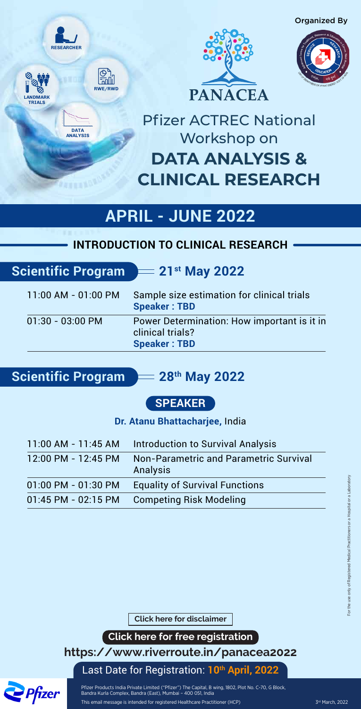### **SPEAKER**

**Dr. Atanu Bhattacharjee,** India

| $11:00$ AM - 01:00 PM | Sample size estimation for clinical trials<br><b>Speaker: TBD</b>                      |
|-----------------------|----------------------------------------------------------------------------------------|
| $01:30 - 03:00$ PM    | Power Determination: How important is it in<br>clinical trials?<br><b>Speaker: TBD</b> |

**Scientific Program = 28<sup>th</sup> May 2022** 

Pfizer Products India Private Limited ("Pfizer") The Capital, B wing, 1802, Plot No. C-70, G Block, Bandra Kurla Complex, Bandra (East), Mumbai – 400 051, India

This email message is intended for registered Healthcare Practitioner (HCP)

**<https://www.riverroute.in/panacea2022>**

**Click here for free registration**

**[Click here for disclaimer](https://www.pfizermcm.com/files/Emailer_NonProductDisclaimer_New.pdf)**

Last Date for Registration: **10th April, 2022**



# **DATA ANALYSIS & CLINICAL RESEARCH** Pfizer ACTREC National Workshop on







**DATA ANALYSIS**



**LANDMARK TRIALS**

## **APRIL - JUNE 2022**

Organized By

| <b>Introduction to Survival Analysis</b>                  |
|-----------------------------------------------------------|
| <b>Non-Parametric and Parametric Survival</b><br>Analysis |
| <b>Equality of Survival Functions</b>                     |
| <b>Competing Risk Modeling</b>                            |
|                                                           |

### **INTRODUCTION TO CLINICAL RESEARCH**

## **Scientific Program = 21st May 2022**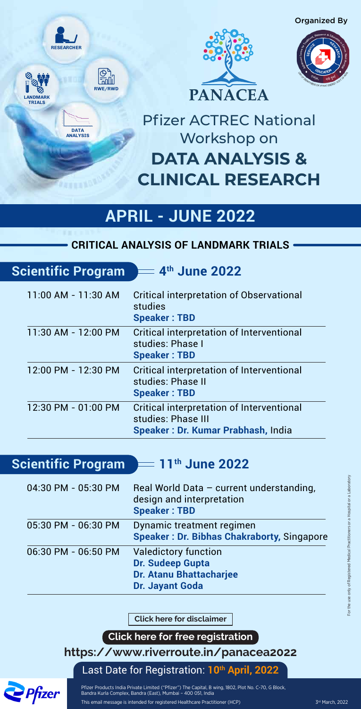| 11:00 AM - 11:30 AM | <b>Critical interpretation of Observational</b><br>studies<br><b>Speaker: TBD</b>                            |
|---------------------|--------------------------------------------------------------------------------------------------------------|
| 11:30 AM - 12:00 PM | Critical interpretation of Interventional<br>studies: Phase I<br><b>Speaker: TBD</b>                         |
| 12:00 PM - 12:30 PM | Critical interpretation of Interventional<br>studies: Phase II<br><b>Speaker: TBD</b>                        |
| 12:30 PM - 01:00 PM | Critical interpretation of Interventional<br>studies: Phase III<br><b>Speaker: Dr. Kumar Prabhash, India</b> |

**Scientific Program = 11<sup>th</sup> June 2022** 

Pfizer Products India Private Limited ("Pfizer") The Capital, B wing, 1802, Plot No. C-70, G Block, Bandra Kurla Complex, Bandra (East), Mumbai – 400 051, India

This email message is intended for registered Healthcare Practitioner (HCP)

**<https://www.riverroute.in/panacea2022>**

**Click here for free registration**

**[Click here for disclaimer](https://www.pfizermcm.com/files/Emailer_NonProductDisclaimer_New.pdf)**

Last Date for Registration: **10th April, 2022**



# **DATA ANALYSIS & CLINICAL RESEARCH** Pfizer ACTREC National Workshop on

**RWE/RWD**





**DATA ANALYSIS**



**LANDMARK TRIALS**

## **APRIL - JUNE 2022**

Organized By

| 04:30 PM - 05:30 PM | Real World Data - current understanding,<br>design and interpretation<br><b>Speaker: TBD</b>                |
|---------------------|-------------------------------------------------------------------------------------------------------------|
| 05:30 PM - 06:30 PM | Dynamic treatment regimen<br><b>Speaker: Dr. Bibhas Chakraborty, Singapore</b>                              |
| 06:30 PM - 06:50 PM | <b>Valedictory function</b><br>Dr. Sudeep Gupta<br><b>Dr. Atanu Bhattacharjee</b><br><b>Dr. Jayant Goda</b> |

### **CRITICAL ANALYSIS OF LANDMARK TRIALS**

## **Scientific Program = 4<sup>th</sup> June 2022**